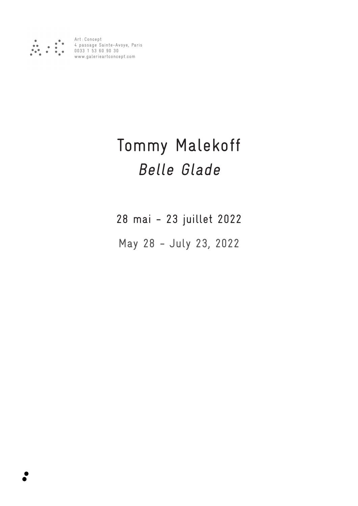

Art : Concept 4 passage Sainte-Avoye, Paris 0033 1 53 60 90 30 www.galerieartconcept.com

## Tommy Malekoff Belle Glade

28 mai - 23 juillet 2022

May 28 - July 23, 2022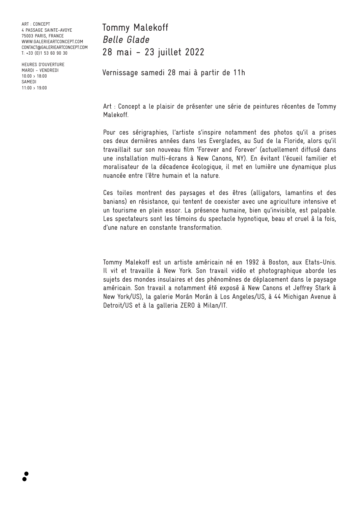ART : CONCEPT 4 PASSAGE SAINTE-AVOYE 75003 PARIS, FRANCE WWW.GALERIEARTCONCEPT.COM CONTACT@GALERIEARTCONCEPT.COM T: +33 (0)1 53 60 90 30

HEURES D'OUVERTURE MARDI - VENDREDI 10:00 > 18:00 SAMEDI 11:00 > 19:00

Tommy Malekoff Belle Glade 28 mai - 23 juillet 2022

Vernissage samedi 28 mai à partir de 11h

Art : Concept a le plaisir de présenter une série de peintures récentes de Tommy Malekoff.

Pour ces sérigraphies, l'artiste s'inspire notamment des photos qu'il a prises ces deux dernières années dans les Everglades, au Sud de la Floride, alors qu'il travaillait sur son nouveau film 'Forever and Forever' (actuellement diffusé dans une installation multi-écrans à New Canons, NY). En évitant l'écueil familier et moralisateur de la décadence écologique, il met en lumière une dynamique plus nuancée entre l'être humain et la nature.

Ces toiles montrent des paysages et des êtres (alligators, lamantins et des banians) en résistance, qui tentent de coexister avec une agriculture intensive et un tourisme en plein essor. La présence humaine, bien qu'invisible, est palpable. Les spectateurs sont les témoins du spectacle hypnotique, beau et cruel à la fois, d'une nature en constante transformation.

Tommy Malekoff est un artiste américain né en 1992 à Boston, aux Etats-Unis. Il vit et travaille à New York. Son travail vidéo et photographique aborde les sujets des mondes insulaires et des phénomènes de déplacement dans le paysage américain. Son travail a notamment été exposé à New Canons et Jeffrey Stark à New York/US), la galerie Morán Morán à Los Angeles/US, à 44 Michigan Avenue à Detroit/US et à la galleria ZERO à Milan/IT.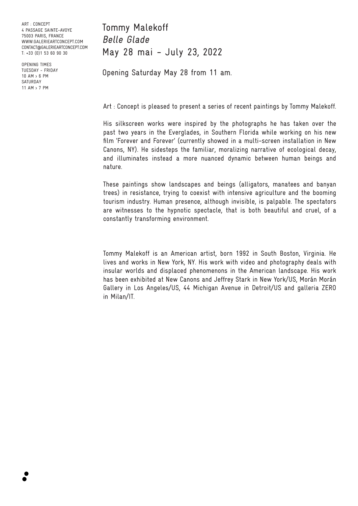ART : CONCEPT 4 PASSAGE SAINTE-AVOYE 75003 PARIS, FRANCE WWW.GALERIEARTCONCEPT.COM CONTACT@GALERIEARTCONCEPT.COM T: +33 (0)1 53 60 90 30

OPENING TIMES TUESDAY - FRIDAY 10 AM > 6 PM SATURDAY 11 AM > 7 PM

Tommy Malekoff Belle Glade May 28 mai - July 23, 2022

Opening Saturday May 28 from 11 am.

Art : Concept is pleased to present a series of recent paintings by Tommy Malekoff.

His silkscreen works were inspired by the photographs he has taken over the past two years in the Everglades, in Southern Florida while working on his new film 'Forever and Forever' (currently showed in a multi-screen installation in New Canons, NY). He sidesteps the familiar, moralizing narrative of ecological decay, and illuminates instead a more nuanced dynamic between human beings and nature.

These paintings show landscapes and beings (alligators, manatees and banyan trees) in resistance, trying to coexist with intensive agriculture and the booming tourism industry. Human presence, although invisible, is palpable. The spectators are witnesses to the hypnotic spectacle, that is both beautiful and cruel, of a constantly transforming environment.

Tommy Malekoff is an American artist, born 1992 in South Boston, Virginia. He lives and works in New York, NY. His work with video and photography deals with insular worlds and displaced phenomenons in the American landscape. His work has been exhibited at New Canons and Jeffrey Stark in New York/US, Morán Morán Gallery in Los Angeles/US, 44 Michigan Avenue in Detroit/US and galleria ZERO in Milan/IT.